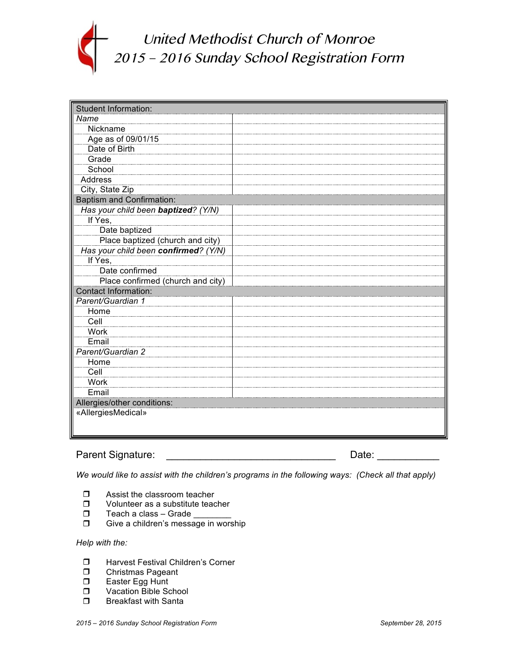

United Methodist Church of Monroe 2015 – 2016 Sunday School Registration Form

| <b>Student Information:</b>          |  |  |
|--------------------------------------|--|--|
| Name                                 |  |  |
| Nickname                             |  |  |
| Age as of 09/01/15                   |  |  |
| Date of Birth                        |  |  |
| Grade                                |  |  |
| School                               |  |  |
| Address                              |  |  |
| City, State Zip                      |  |  |
| <b>Baptism and Confirmation:</b>     |  |  |
| Has your child been baptized? (Y/N)  |  |  |
| If Yes,                              |  |  |
| Date baptized                        |  |  |
| Place baptized (church and city)     |  |  |
| Has your child been confirmed? (Y/N) |  |  |
| If Yes,                              |  |  |
| Date confirmed                       |  |  |
| Place confirmed (church and city)    |  |  |
| <b>Contact Information:</b>          |  |  |
| Parent/Guardian 1                    |  |  |
| Home                                 |  |  |
| Cell                                 |  |  |
| Work                                 |  |  |
| Email                                |  |  |
| Parent/Guardian 2                    |  |  |
| Home                                 |  |  |
| Cell                                 |  |  |
| Work                                 |  |  |
| Email                                |  |  |
| Allergies/other conditions:          |  |  |
| «AllergiesMedical»                   |  |  |
|                                      |  |  |
|                                      |  |  |

## Parent Signature: \_\_\_\_\_\_\_\_\_\_\_\_\_\_\_\_\_\_\_\_\_\_\_\_\_\_\_\_\_\_ Date: \_\_\_\_\_\_\_\_\_\_\_

*We would like to assist with the children's programs in the following ways: (Check all that apply)*

- $\Box$  Assist the classroom teacher
- $\Box$  Volunteer as a substitute teacher
- $\Box$  Teach a class Grade
- $\Box$  Give a children's message in worship

## *Help with the:*

- $\Box$  Harvest Festival Children's Corner
- **D** Christmas Pageant
- $\Box$  Easter Egg Hunt
- **D** Vacation Bible School
- $\Box$  Breakfast with Santa